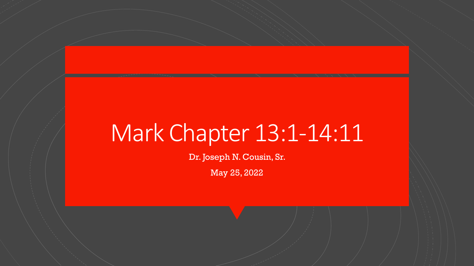# Mark Chapter 13:1-14:11

Dr. Joseph N. Cousin, Sr.

May 25, 2022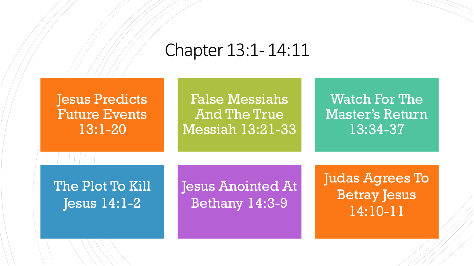### Chapter 13:1- 14:11

Jesus Predicts Future Events 13:1-20

False Messiahs And The True Messiah 13:21-33

Watch For The Master's Return 13:34-37

The Plot To Kill Jesus 14:1-2

Jesus Anointed At Bethany 14:3-9

Judas Agrees To Betray Jesus 14:10-11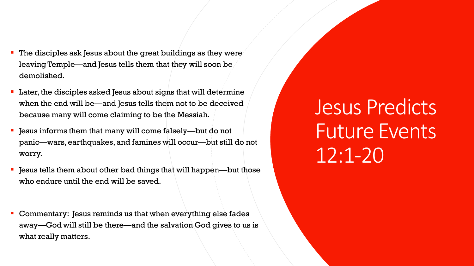- The disciples ask Jesus about the great buildings as they were leaving Temple—and Jesus tells them that they will soon be demolished.
- Later, the disciples asked Jesus about signs that will determine when the end will be—and Jesus tells them not to be deceived because many will come claiming to be the Messiah.
- Jesus informs them that many will come falsely—but do not panic—wars, earthquakes, and famines will occur—but still do not worry.
- Jesus tells them about other bad things that will happen—but those who endure until the end will be saved.
- Commentary: Jesus reminds us that when everything else fades away—God will still be there—and the salvation God gives to us is what really matters.

Jesus Predicts Future Events 12:1-20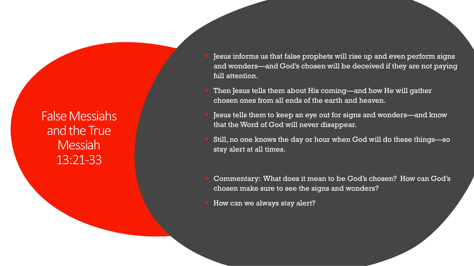False Messiahs and the True Messiah 13:21-33

- Jesus informs us that false prophets will rise up and even perform signs and wonders—and God's chosen will be deceived if they are not paying full attention.
- Then Jesus tells them about His coming—and how He will gather chosen ones from all ends of the earth and heaven.
- Jesus tells them to keep an eye out for signs and wonders—and know that the Word of God will never disappear.
- Still, no one knows the day or hour when God will do these things—so stay alert at all times.
- Commentary: What does it mean to be God's chosen? How can God's chosen make sure to see the signs and wonders?
- How can we always stay alert?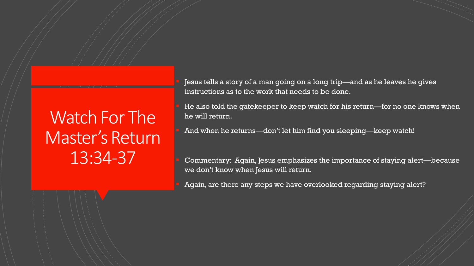### Watch For The Master's Return 13:34-37

Jesus tells a story of a man going on a long trip—and as he leaves he gives instructions as to the work that needs to be done.

He also told the gatekeeper to keep watch for his return—for no one knows when he will return.

And when he returns—don't let him find you sleeping—keep watch!

Commentary: Again, Jesus emphasizes the importance of staying alert—because we don't know when Jesus will return.

Again, are there any steps we have overlooked regarding staying alert?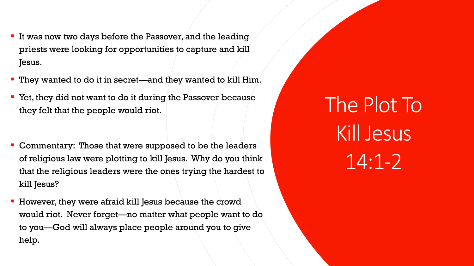- **If was now two days before the Passover, and the leading** priests were looking for opportunities to capture and kill Jesus.
- They wanted to do it in secret—and they wanted to kill Him.
- Yet, they did not want to do it during the Passover because they felt that the people would riot.
- **EX Commentary: Those that were supposed to be the leaders** of religious law were plotting to kill Jesus. Why do you think that the religious leaders were the ones trying the hardest to kill Jesus?
- However, they were afraid kill Jesus because the crowd would riot. Never forget—no matter what people want to do to you—God will always place people around you to give help.

The Plot To Kill Jesus 14:1-2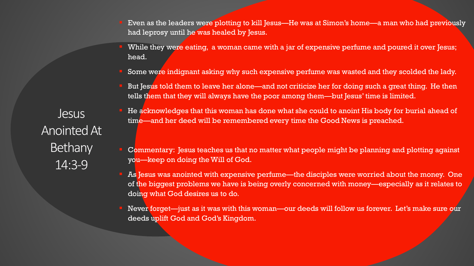- Even as the leaders were plotting to kill Jesus—He was at Simon's home—a man who had previously had leprosy until he was healed by Jesus.
- While they were eating, a woman came with a jar of expensive perfume and poured it over Jesus; head.
- Some were indignant asking why such expensive perfume was wasted and they scolded the lady.
- But Jesus told them to leave her alone—and not criticize her for doing such a great thing. He then tells them that they will always have the poor among them—but Jesus' time is limited.

He acknowledges that this woman has done what she could to anoint His body for burial ahead of time—and her deed will be remembered every time the Good News is preached.

- Commentary: Jesus teaches us that no matter what people might be planning and plotting against you—keep on doing the Will of God.
- As Jesus was anointed with expensive perfume—the disciples were worried about the money. One of the biggest problems we have is being overly concerned with money—especially as it relates to doing what God desires us to do.
- Never forget—just as it was with this woman—our deeds will follow us forever. Let's make sure our deeds uplift God and God's Kingdom.

Jesus Anointed At **Bethany** 14:3-9